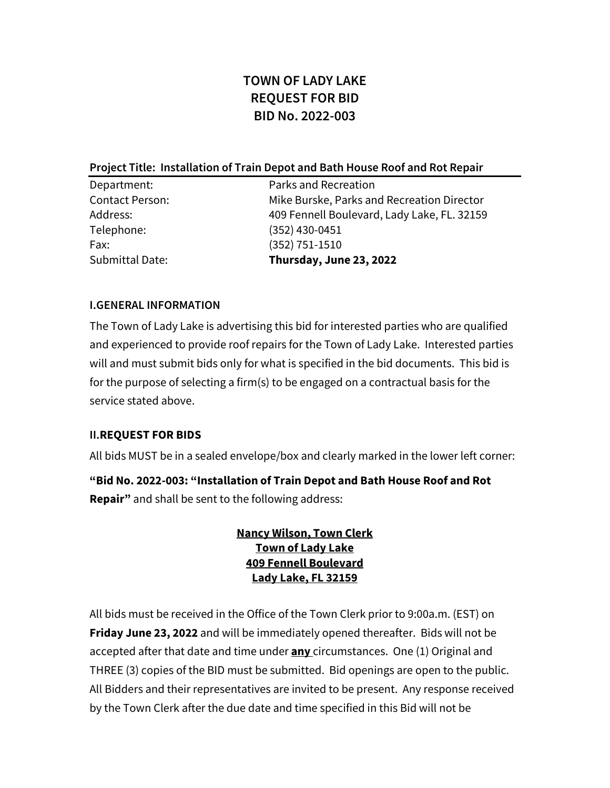# **TOWN OF LADY LAKE REQUEST FOR BID BID No. 2022-003**

#### **Project Title: Installation of Train Depot and Bath House Roof and Rot Repair**

| Submittal Date:        | Thursday, June 23, 2022                     |
|------------------------|---------------------------------------------|
| Fax:                   | $(352)$ 751-1510                            |
| Telephone:             | $(352)$ 430-0451                            |
| Address:               | 409 Fennell Boulevard, Lady Lake, FL. 32159 |
| <b>Contact Person:</b> | Mike Burske, Parks and Recreation Director  |
| Department:            | Parks and Recreation                        |

#### **I.GENERAL INFORMATION**

The Town of Lady Lake is advertising this bid for interested parties who are qualified and experienced to provide roof repairs for the Town of Lady Lake. Interested parties will and must submit bids only for what is specified in the bid documents. This bid is for the purpose of selecting a firm(s) to be engaged on a contractual basis for the service stated above.

#### **II.REQUEST FOR BIDS**

All bids MUST be in a sealed envelope/box and clearly marked in the lower left corner:

**"Bid No. 2022-003: "Installation of Train Depot and Bath House Roof and Rot Repair"** and shall be sent to the following address:

#### **Nancy Wilson, Town Clerk Town of Lady Lake 409 Fennell Boulevard Lady Lake, FL 32159**

All bids must be received in the Office of the Town Clerk prior to 9:00a.m. (EST) on **Friday June 23, 2022** and will be immediately opened thereafter. Bids will not be accepted after that date and time under **any** circumstances. One (1) Original and THREE (3) copies of the BID must be submitted. Bid openings are open to the public. All Bidders and their representatives are invited to be present. Any response received by the Town Clerk after the due date and time specified in this Bid will not be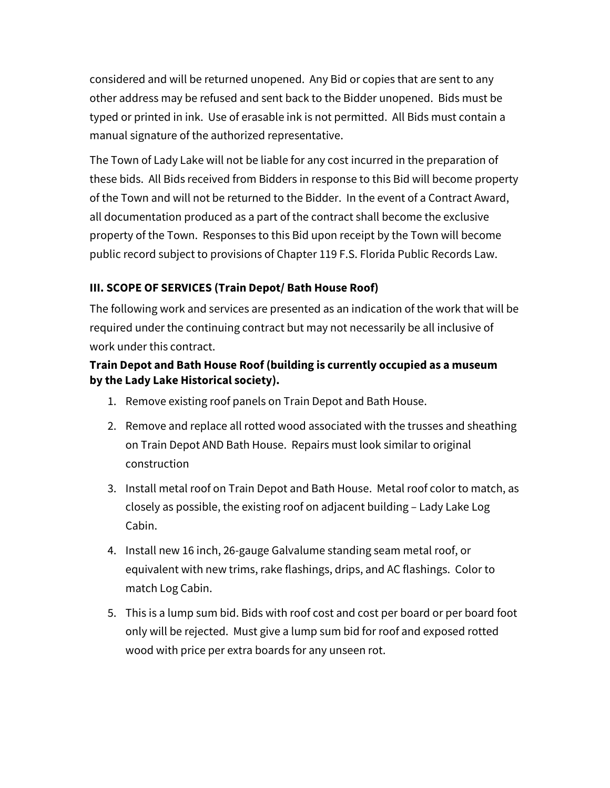considered and will be returned unopened. Any Bid or copies that are sent to any other address may be refused and sent back to the Bidder unopened. Bids must be typed or printed in ink. Use of erasable ink is not permitted. All Bids must contain a manual signature of the authorized representative.

The Town of Lady Lake will not be liable for any cost incurred in the preparation of these bids. All Bids received from Bidders in response to this Bid will become property of the Town and will not be returned to the Bidder. In the event of a Contract Award, all documentation produced as a part of the contract shall become the exclusive property of the Town. Responses to this Bid upon receipt by the Town will become public record subject to provisions of Chapter 119 F.S. Florida Public Records Law.

## **III. SCOPE OF SERVICES (Train Depot/ Bath House Roof)**

The following work and services are presented as an indication of the work that will be required under the continuing contract but may not necessarily be all inclusive of work under this contract.

## **Train Depot and Bath House Roof (building is currently occupied as a museum by the Lady Lake Historical society).**

- 1. Remove existing roof panels on Train Depot and Bath House.
- 2. Remove and replace all rotted wood associated with the trusses and sheathing on Train Depot AND Bath House. Repairs must look similar to original construction
- 3. Install metal roof on Train Depot and Bath House. Metal roof color to match, as closely as possible, the existing roof on adjacent building – Lady Lake Log Cabin.
- 4. Install new 16 inch, 26-gauge Galvalume standing seam metal roof, or equivalent with new trims, rake flashings, drips, and AC flashings. Color to match Log Cabin.
- 5. This is a lump sum bid. Bids with roof cost and cost per board or per board foot only will be rejected. Must give a lump sum bid for roof and exposed rotted wood with price per extra boards for any unseen rot.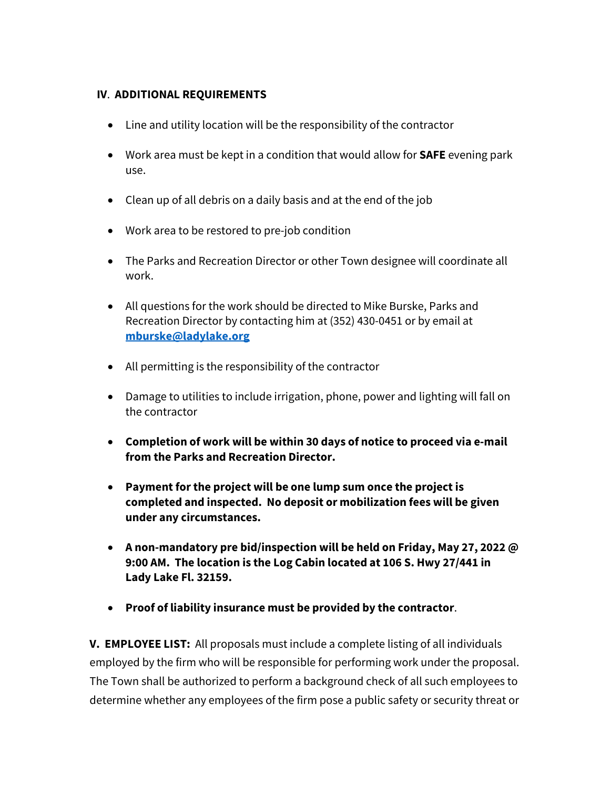### **IV**. **ADDITIONAL REQUIREMENTS**

- Line and utility location will be the responsibility of the contractor
- Work area must be kept in a condition that would allow for **SAFE** evening park use.
- Clean up of all debris on a daily basis and at the end of the job
- Work area to be restored to pre-job condition
- The Parks and Recreation Director or other Town designee will coordinate all work.
- All questions for the work should be directed to Mike Burske, Parks and Recreation Director by contacting him at (352) 430-0451 or by email at **[mburske@ladylake.org](mailto:mburske@ladylake.org)**
- All permitting is the responsibility of the contractor
- Damage to utilities to include irrigation, phone, power and lighting will fall on the contractor
- **Completion of work will be within 30 days of notice to proceed via e-mail from the Parks and Recreation Director.**
- **Payment for the project will be one lump sum once the project is completed and inspected. No deposit or mobilization fees will be given under any circumstances.**
- **A non-mandatory pre bid/inspection will be held on Friday, May 27, 2022 @ 9:00 AM. The location is the Log Cabin located at 106 S. Hwy 27/441 in Lady Lake Fl. 32159.**
- **Proof of liability insurance must be provided by the contractor**.

**V. EMPLOYEE LIST:** All proposals must include a complete listing of all individuals employed by the firm who will be responsible for performing work under the proposal. The Town shall be authorized to perform a background check of all such employees to determine whether any employees of the firm pose a public safety or security threat or